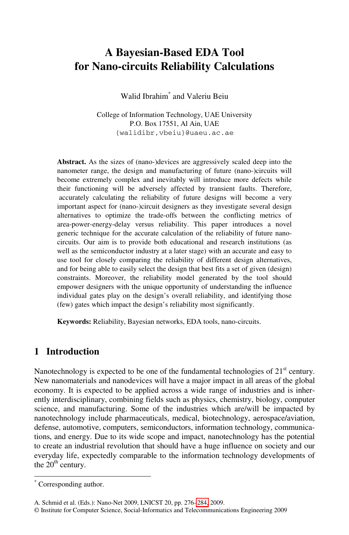# **A Bayesian-Based EDA Tool for Nano-circuits Reliability Calculations**

Walid Ibrahim\* and Valeriu Beiu

College of Information Technology, UAE University P.O. Box 17551, Al Ain, UAE {walidibr,vbeiu}@uaeu.ac.ae

**Abstract.** As the sizes of (nano-)devices are aggressively scaled deep into the nanometer range, the design and manufacturing of future (nano-)circuits will become extremely complex and inevitably will introduce more defects while their functioning will be adversely affected by transient faults. Therefore, accurately calculating the reliability of future designs will become a very important aspect for (nano-)circuit designers as they investigate several design alternatives to optimize the trade-offs between the conflicting metrics of area-power-energy-delay versus reliability. This paper introduces a novel generic technique for the accurate calculation of the reliability of future nanocircuits. Our aim is to provide both educational and research institutions (as well as the semiconductor industry at a later stage) with an accurate and easy to use tool for closely comparing the reliability of different design alternatives, and for being able to easily select the design that best fits a set of given (design) constraints. Moreover, the reliability model generated by the tool should empower designers with the unique opportunity of understanding the influence individual gates play on the design's overall reliability, and identifying those (few) gates which impact the design's reliability most significantly.

**Keywords:** Reliability, Bayesian networks, EDA tools, nano-circuits.

#### **1 Introduction**

Nanotechnology is expected to be one of the fundamental technologies of  $21<sup>st</sup>$  century. New nanomaterials and nanodevices will have a major impact in all areas of the global economy. It is expected to be applied across a wide range of industries and is inherently interdisciplinary, combining fields such as physics, chemistry, biology, computer science, and manufacturing. Some of the industries which are/will be impacted by nanotechnology include pharmaceuticals, medical, biotechnology, aerospace/aviation, defense, automotive, comput[ers, s](#page-8-0)emiconductors, information technology, communications, and energy. Due to its wide scope and impact, nanotechnology has the potential to create an industrial revolution that should have a huge influence on society and our everyday life, expectedly comparable to the information technology developments of the  $20<sup>th</sup>$  century.

j

<sup>\*</sup> Corresponding author.

A. Schmid et al. (Eds.): Nano-Net 2009, LNICST 20, pp. 276–284, 2009.

<sup>©</sup> Institute for Computer Science, Social-Informatics and Telecommunications Engineering 2009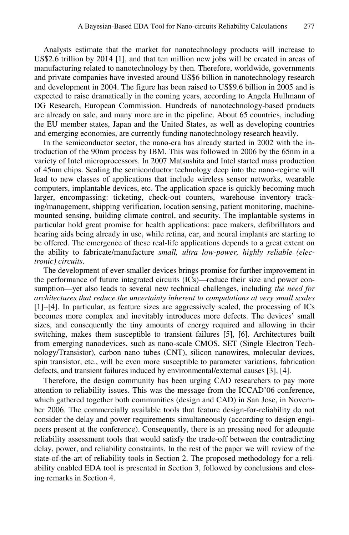Analysts estimate that the market for nanotechnology products will increase to US\$2.6 trillion by 2014 [1], and that ten million new jobs will be created in areas of manufacturing related to nanotechnology by then. Therefore, worldwide, governments and private companies have invested around US\$6 billion in nanotechnology research and development in 2004. The figure has been raised to US\$9.6 billion in 2005 and is expected to raise dramatically in the coming years, according to Angela Hullmann of DG Research, European Commission. Hundreds of nanotechnology-based products are already on sale, and many more are in the pipeline. About 65 countries, including the EU member states, Japan and the United States, as well as developing countries and emerging economies, are currently funding nanotechnology research heavily.

In the semiconductor sector, the nano-era has already started in 2002 with the introduction of the 90nm process by IBM. This was followed in 2006 by the 65nm in a variety of Intel microprocessors. In 2007 Matsushita and Intel started mass production of 45nm chips. Scaling the semiconductor technology deep into the nano-regime will lead to new classes of applications that include wireless sensor networks, wearable computers, implantable devices, etc. The application space is quickly becoming much larger, encompassing: ticketing, check-out counters, warehouse inventory tracking/management, shipping verification, location sensing, patient monitoring, machinemounted sensing, building climate control, and security. The implantable systems in particular hold great promise for health applications: pace makers, defibrillators and hearing aids being already in use, while retina, ear, and neural implants are starting to be offered. The emergence of these real-life applications depends to a great extent on the ability to fabricate/manufacture *small, ultra low-power, highly reliable (electronic) circuits*.

The development of ever-smaller devices brings promise for further improvement in the performance of future integrated circuits (ICs)—reduce their size and power consumption—yet also leads to several new technical challenges, including *the need for architectures that reduce the uncertainty inherent to computations at very small scales* [1]−[4]. In particular, as feature sizes are aggressively scaled, the processing of ICs becomes more complex and inevitably introduces more defects. The devices' small sizes, and consequently the tiny amounts of energy required and allowing in their switching, makes them susceptible to transient failures [5], [6]. Architectures built from emerging nanodevices, such as nano-scale CMOS, SET (Single Electron Technology/Transistor), carbon nano tubes (CNT), silicon nanowires, molecular devices, spin transistor, etc., will be even more susceptible to parameter variations, fabrication defects, and transient failures induced by environmental/external causes [3], [4].

Therefore, the design community has been urging CAD researchers to pay more attention to reliability issues. This was the message from the ICCAD'06 conference, which gathered together both communities (design and CAD) in San Jose, in November 2006. The commercially available tools that feature design-for-reliability do not consider the delay and power requirements simultaneously (according to design engineers present at the conference). Consequently, there is an pressing need for adequate reliability assessment tools that would satisfy the trade-off between the contradicting delay, power, and reliability constraints. In the rest of the paper we will review of the state-of-the-art of reliability tools in Section 2. The proposed methodology for a reliability enabled EDA tool is presented in Section 3, followed by conclusions and closing remarks in Section 4.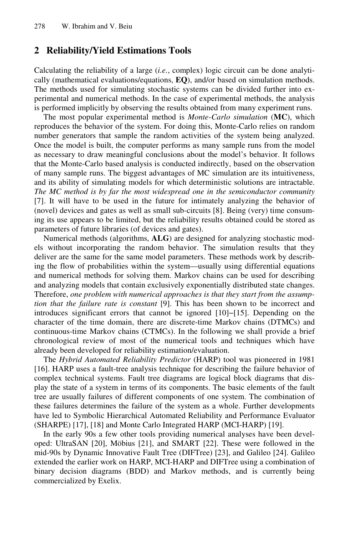### **2 Reliability/Yield Estimations Tools**

Calculating the reliability of a large (*i.e.*, complex) logic circuit can be done analytically (mathematical evaluations/equations, **EQ**), and/or based on simulation methods. The methods used for simulating stochastic systems can be divided further into experimental and numerical methods. In the case of experimental methods, the analysis is performed implicitly by observing the results obtained from many experiment runs.

The most popular experimental method is *Monte-Carlo simulation* (**MC**), which reproduces the behavior of the system. For doing this, Monte-Carlo relies on random number generators that sample the random activities of the system being analyzed. Once the model is built, the computer performs as many sample runs from the model as necessary to draw meaningful conclusions about the model's behavior. It follows that the Monte-Carlo based analysis is conducted indirectly, based on the observation of many sample runs. The biggest advantages of MC simulation are its intuitiveness, and its ability of simulating models for which deterministic solutions are intractable. *The MC method is by far the most widespread one in the semiconductor community* [7]. It will have to be used in the future for intimately analyzing the behavior of (novel) devices and gates as well as small sub-circuits [8]. Being (very) time consuming its use appears to be limited, but the reliability results obtained could be stored as parameters of future libraries (of devices and gates).

Numerical methods (algorithms, **ALG**) are designed for analyzing stochastic models without incorporating the random behavior. The simulation results that they deliver are the same for the same model parameters. These methods work by describing the flow of probabilities within the system—usually using differential equations and numerical methods for solving them. Markov chains can be used for describing and analyzing models that contain exclusively exponentially distributed state changes. Therefore, *one problem with numerical approaches is that they start from the assumption that the failure rate is constant* [9]. This has been shown to be incorrect and introduces significant errors that cannot be ignored [10]−[15]. Depending on the character of the time domain, there are discrete-time Markov chains (DTMCs) and continuous-time Markov chains (CTMCs). In the following we shall provide a brief chronological review of most of the numerical tools and techniques which have already been developed for reliability estimation/evaluation.

The *Hybrid Automated Reliability Predictor* (HARP) tool was pioneered in 1981 [16]. HARP uses a fault-tree analysis technique for describing the failure behavior of complex technical systems. Fault tree diagrams are logical block diagrams that display the state of a system in terms of its components. The basic elements of the fault tree are usually failures of different components of one system. The combination of these failures determines the failure of the system as a whole. Further developments have led to Symbolic Hierarchical Automated Reliability and Performance Evaluator (SHARPE) [17], [18] and Monte Carlo Integrated HARP (MCI-HARP) [19].

In the early 90s a few other tools providing numerical analyses have been developed: UltraSAN [20], Möbius [21], and SMART [22]. These were followed in the mid-90s by Dynamic Innovative Fault Tree (DIFTree) [23], and Galileo [24]. Galileo extended the earlier work on HARP, MCI-HARP and DIFTree using a combination of binary decision diagrams (BDD) and Markov methods, and is currently being commercialized by Exelix.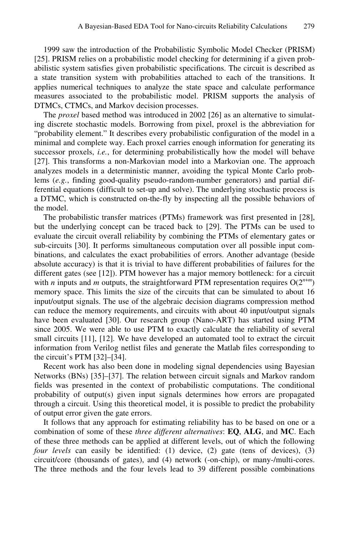1999 saw the introduction of the Probabilistic Symbolic Model Checker (PRISM) [25]. PRISM relies on a probabilistic model checking for determining if a given probabilistic system satisfies given probabilistic specifications. The circuit is described as a state transition system with probabilities attached to each of the transitions. It applies numerical techniques to analyze the state space and calculate performance measures associated to the probabilistic model. PRISM supports the analysis of DTMCs, CTMCs, and Markov decision processes.

The *proxel* based method was introduced in 2002 [26] as an alternative to simulating discrete stochastic models. Borrowing from pixel, proxel is the abbreviation for "probability element." It describes every probabilistic configuration of the model in a minimal and complete way. Each proxel carries enough information for generating its successor proxels, *i.e.*, for determining probabilistically how the model will behave [27]. This transforms a non-Markovian model into a Markovian one. The approach analyzes models in a deterministic manner, avoiding the typical Monte Carlo problems (*e.g.*, finding good-quality pseudo-random-number generators) and partial differential equations (difficult to set-up and solve). The underlying stochastic process is a DTMC, which is constructed on-the-fly by inspecting all the possible behaviors of the model.

The probabilistic transfer matrices (PTMs) framework was first presented in [28], but the underlying concept can be traced back to [29]. The PTMs can be used to evaluate the circuit overall reliability by combining the PTMs of elementary gates or sub-circuits [30]. It performs simultaneous computation over all possible input combinations, and calculates the exact probabilities of errors. Another advantage (beside absolute accuracy) is that it is trivial to have different probabilities of failures for the different gates (see [12]). PTM however has a major memory bottleneck: for a circuit with *n* inputs and *m* outputs, the straightforward PTM representation requires  $O(2^{n+m})$ memory space. This limits the size of the circuits that can be simulated to about 16 input/output signals. The use of the algebraic decision diagrams compression method can reduce the memory requirements, and circuits with about 40 input/output signals have been evaluated [30]. Our research group (Nano-ART) has started using PTM since 2005. We were able to use PTM to exactly calculate the reliability of several small circuits [11], [12]. We have developed an automated tool to extract the circuit information from Verilog netlist files and generate the Matlab files corresponding to the circuit's PTM [32]–[34].

Recent work has also been done in modeling signal dependencies using Bayesian Networks (BNs) [35]–[37]. The relation between circuit signals and Markov random fields was presented in the context of probabilistic computations. The conditional probability of output(s) given input signals determines how errors are propagated through a circuit. Using this theoretical model, it is possible to predict the probability of output error given the gate errors.

It follows that any approach for estimating reliability has to be based on one or a combination of some of these *three different alternatives*: **EQ**, **ALG**, and **MC**. Each of these three methods can be applied at different levels, out of which the following *four levels* can easily be identified: (1) device, (2) gate (tens of devices), (3) circuit/core (thousands of gates), and (4) network (-on-chip), or many-/multi-cores. The three methods and the four levels lead to 39 different possible combinations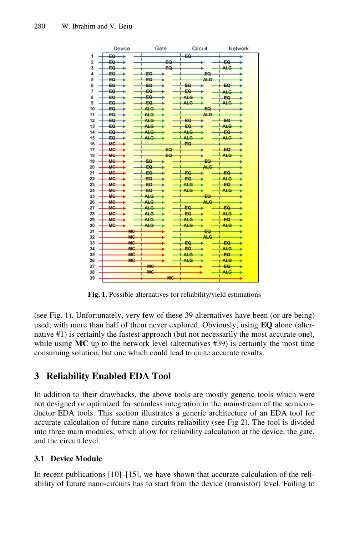|                         | Device           | Gate      | Circuit     | Network    |
|-------------------------|------------------|-----------|-------------|------------|
| 1                       | $EQ \rightarrow$ |           | EQ-         | s.         |
| $\overline{\mathbf{2}}$ | EQ-<br>÷         | EQ-       |             | $EQ -$     |
| 3                       | EQ-<br>∸         | EQ        |             | ALG-       |
| 4                       | EQ<br>s          | EQ        | EQ          |            |
| 5                       | EQ-              | EQ-       | <b>ALG</b>  |            |
| 6                       | EQ-              | EQ        | EΘ          | EQ-        |
| 7                       | EQ-              | EQ-       | EQ          | <b>ALG</b> |
| 8                       | EQ-              | EQ        | AL G        | EQ         |
| 9                       | EQ               | EQ-       | <b>ALG</b>  | <b>ALG</b> |
| 10                      | EQ-<br>÷         | ALG-      | EQ          |            |
| 11                      | EQ-              | ALG-      | <b>ALG</b>  |            |
| 12                      | <b>EQ</b>        | ALG-      | EΩ          | EQ-        |
| 13                      | EQ.<br>۰         | ALG-      | EQ          | ALG-       |
| 14                      | EQ-              | ALG-      | <b>ALG</b>  | EQ-        |
| 15                      | EQ-              | ALG-      | ALG-        | ALG-       |
| 16                      | <b>MG</b>        |           | EQ-         |            |
| 17                      | MC.              |           |             |            |
|                         |                  | EQ<br>EΩ  |             | $EQ -$     |
| 18                      | MC.              |           |             | ALG-       |
| 19                      | <b>MG</b>        | EQ-       | EQ          |            |
| 20                      | <b>MC</b>        | $EQ -$    | <b>ALG</b>  |            |
| 21                      | MC.              | EQ-       | EQ-         | <b>EQ</b>  |
| 22                      | <b>MG</b>        | EQ-       | EQ.         | ALG-       |
| 23                      | MC-              | EQ-       | <b>ALG-</b> | EQ         |
| 24                      | MC-              | EQ-       | <b>ALG</b>  | ALG-       |
| 25                      | <b>MC</b>        | ALG       | -EQ.        |            |
| 26                      | MC-              | ALG       | <b>ALG</b>  |            |
| 27                      | <b>MC</b>        | ALG-      | EQ-         | EQ-        |
| 28                      | MC               | ALG-      | EQ-         | ALG-       |
| 29                      | MC.              | ALG-      | ALG-        | EQ         |
| 30                      | MC.              | ALG-      | ALG-        | <b>ALG</b> |
| 31                      | <b>MC</b>        |           | £О          |            |
| 32                      | MC               |           | <b>ALG</b>  |            |
| 33                      | MC               |           | $EQ-$       | EQ-        |
| 34                      | MC               |           | $EQ -$      | ALG-       |
| 35                      | MC               |           | ALG-        | EQ-        |
| 36                      | MC               |           | ALG-        | ALG-       |
| 37                      |                  | <b>MG</b> |             | EQ-        |
| 38                      |                  | <b>MG</b> |             | ALG-       |
| 39                      |                  | <b>MG</b> |             |            |
|                         |                  |           |             |            |

**Fig. 1.** Possible alternatives for reliability/yield estimations

(see Fig. 1). Unfortunately, very few of these 39 alternatives have been (or are being) used, with more than half of them never explored. Obviously, using **EQ** alone (alternative #1) is certainly the fastest approach (but not necessarily the most accurate one), while using **MC** up to the network level (alternatives #39) is certainly the most time consuming solution, but one which could lead to quite accurate results.

## **3 Reliability Enabled EDA Tool**

In addition to their drawbacks, the above tools are mostly generic tools which were not designed or optimized for seamless integration in the mainstream of the semiconductor EDA tools. This section illustrates a generic architecture of an EDA tool for accurate calculation of future nano-circuits reliability (see Fig 2). The tool is divided into three main modules, which allow for reliability calculation at the device, the gate, and the circuit level.

#### **3.1 Device Module**

In recent publications [10]–[15], we have shown that accurate calculation of the reliability of future nano-circuits has to start from the device (transistor) level. Failing to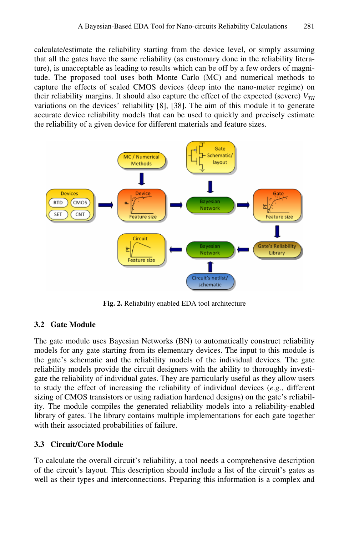calculate/estimate the reliability starting from the device level, or simply assuming that all the gates have the same reliability (as customary done in the reliability literature), is unacceptable as leading to results which can be off by a few orders of magnitude. The proposed tool uses both Monte Carlo (MC) and numerical methods to capture the effects of scaled CMOS devices (deep into the nano-meter regime) on their reliability margins. It should also capture the effect of the expected (severe)  $V_{TH}$ variations on the devices' reliability [8], [38]. The aim of this module it to generate accurate device reliability models that can be used to quickly and precisely estimate the reliability of a given device for different materials and feature sizes.



**Fig. 2.** Reliability enabled EDA tool architecture

### **3.2 Gate Module**

The gate module uses Bayesian Networks (BN) to automatically construct reliability models for any gate starting from its elementary devices. The input to this module is the gate's schematic and the reliability models of the individual devices. The gate reliability models provide the circuit designers with the ability to thoroughly investigate the reliability of individual gates. They are particularly useful as they allow users to study the effect of increasing the reliability of individual devices (*e.g.*, different sizing of CMOS transistors or using radiation hardened designs) on the gate's reliability. The module compiles the generated reliability models into a reliability-enabled library of gates. The library contains multiple implementations for each gate together with their associated probabilities of failure.

#### **3.3 Circuit/Core Module**

To calculate the overall circuit's reliability, a tool needs a comprehensive description of the circuit's layout. This description should include a list of the circuit's gates as well as their types and interconnections. Preparing this information is a complex and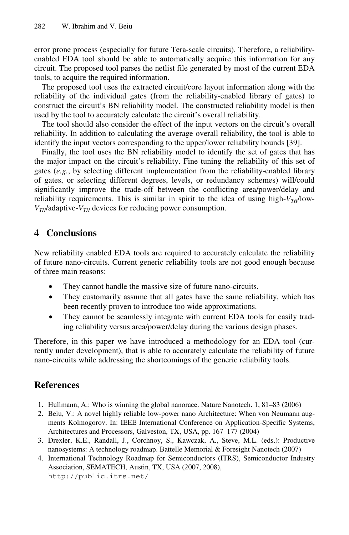error prone process (especially for future Tera-scale circuits). Therefore, a reliabilityenabled EDA tool should be able to automatically acquire this information for any circuit. The proposed tool parses the netlist file generated by most of the current EDA tools, to acquire the required information.

The proposed tool uses the extracted circuit/core layout information along with the reliability of the individual gates (from the reliability-enabled library of gates) to construct the circuit's BN reliability model. The constructed reliability model is then used by the tool to accurately calculate the circuit's overall reliability.

The tool should also consider the effect of the input vectors on the circuit's overall reliability. In addition to calculating the average overall reliability, the tool is able to identify the input vectors corresponding to the upper/lower reliability bounds [39].

Finally, the tool uses the BN reliability model to identify the set of gates that has the major impact on the circuit's reliability. Fine tuning the reliability of this set of gates (*e.g.*, by selecting different implementation from the reliability-enabled library of gates, or selecting different degrees, levels, or redundancy schemes) will/could significantly improve the trade-off between the conflicting area/power/delay and reliability requirements. This is similar in spirit to the idea of using high- $V_{TH}/$ low- $V_{TH}$ /adaptive- $V_{TH}$  devices for reducing power consumption.

# **4 Conclusions**

New reliability enabled EDA tools are required to accurately calculate the reliability of future nano-circuits. Current generic reliability tools are not good enough because of three main reasons:

- They cannot handle the massive size of future nano-circuits.
- They customarily assume that all gates have the same reliability, which has been recently proven to introduce too wide approximations.
- They cannot be seamlessly integrate with current EDA tools for easily trading reliability versus area/power/delay during the various design phases.

Therefore, in this paper we have introduced a methodology for an EDA tool (currently under development), that is able to accurately calculate the reliability of future nano-circuits while addressing the shortcomings of the generic reliability tools.

## **References**

- 1. Hullmann, A.: Who is winning the global nanorace. Nature Nanotech. 1, 81–83 (2006)
- 2. Beiu, V.: A novel highly reliable low-power nano Architecture: When von Neumann augments Kolmogorov. In: IEEE International Conference on Application-Specific Systems, Architectures and Processors, Galveston, TX, USA, pp. 167–177 (2004)
- 3. Drexler, K.E., Randall, J., Corchnoy, S., Kawczak, A., Steve, M.L. (eds.): Productive nanosystems: A technology roadmap. Battelle Memorial & Foresight Nanotech (2007)
- 4. International Technology Roadmap for Semiconductors (ITRS), Semiconductor Industry Association, SEMATECH, Austin, TX, USA (2007, 2008), http://public.itrs.net/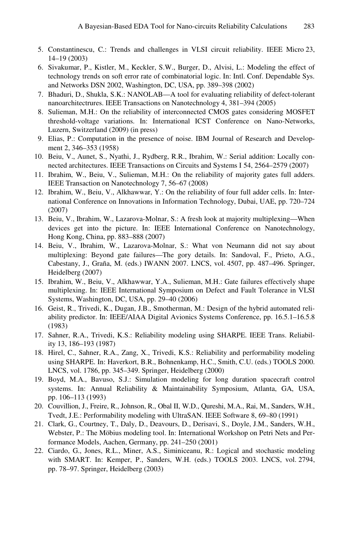- 5. Constantinescu, C.: Trends and challenges in VLSI circuit reliability. IEEE Micro 23, 14–19 (2003)
- 6. Sivakumar, P., Kistler, M., Keckler, S.W., Burger, D., Alvisi, L.: Modeling the effect of technology trends on soft error rate of combinatorial logic. In: Intl. Conf. Dependable Sys. and Networks DSN 2002, Washington, DC, USA, pp. 389–398 (2002)
- 7. Bhaduri, D., Shukla, S.K.: NANOLAB—A tool for evaluating reliability of defect-tolerant nanoarchitectrures. IEEE Transactions on Nanotechnology 4, 381–394 (2005)
- 8. Sulieman, M.H.: On the reliability of interconnected CMOS gates considering MOSFET threshold-voltage variations. In: International ICST Conference on Nano-Networks, Luzern, Switzerland (2009) (in press)
- 9. Elias, P.: Computation in the presence of noise. IBM Journal of Research and Development 2, 346–353 (1958)
- 10. Beiu, V., Aunet, S., Nyathi, J., Rydberg, R.R., Ibrahim, W.: Serial addition: Locally connected architectures. IEEE Transactions on Circuits and Systems I 54, 2564–2579 (2007)
- 11. Ibrahim, W., Beiu, V., Sulieman, M.H.: On the reliability of majority gates full adders. IEEE Transaction on Nanotechnology 7, 56–67 (2008)
- 12. Ibrahim, W., Beiu, V., Alkhawwar, Y.: On the reliability of four full adder cells. In: International Conference on Innovations in Information Technology, Dubai, UAE, pp. 720–724 (2007)
- 13. Beiu, V., Ibrahim, W., Lazarova-Molnar, S.: A fresh look at majority multiplexing—When devices get into the picture. In: IEEE International Conference on Nanotechnology, Hong Kong, China, pp. 883–888 (2007)
- 14. Beiu, V., Ibrahim, W., Lazarova-Molnar, S.: What von Neumann did not say about multiplexing: Beyond gate failures—The gory details. In: Sandoval, F., Prieto, A.G., Cabestany, J., Graña, M. (eds.) IWANN 2007. LNCS, vol. 4507, pp. 487–496. Springer, Heidelberg (2007)
- 15. Ibrahim, W., Beiu, V., Alkhawwar, Y.A., Sulieman, M.H.: Gate failures effectively shape multiplexing. In: IEEE International Symposium on Defect and Fault Tolerance in VLSI Systems, Washington, DC, USA, pp. 29–40 (2006)
- 16. Geist, R., Trivedi, K., Dugan, J.B., Smotherman, M.: Design of the hybrid automated reliability predictor. In: IEEE/AIAA Digital Avionics Systems Conference, pp. 16.5.1–16.5.8 (1983)
- 17. Sahner, R.A., Trivedi, K.S.: Reliability modeling using SHARPE. IEEE Trans. Reliability 13, 186–193 (1987)
- 18. Hirel, C., Sahner, R.A., Zang, X., Trivedi, K.S.: Reliability and performability modeling using SHARPE. In: Haverkort, B.R., Bohnenkamp, H.C., Smith, C.U. (eds.) TOOLS 2000. LNCS, vol. 1786, pp. 345–349. Springer, Heidelberg (2000)
- 19. Boyd, M.A., Bavuso, S.J.: Simulation modeling for long duration spacecraft control systems. In: Annual Reliability & Maintainability Symposium, Atlanta, GA, USA, pp. 106–113 (1993)
- 20. Couvillion, J., Freire, R., Johnson, R., Obal II, W.D., Qureshi, M.A., Rai, M., Sanders, W.H., Tvedt, J.E.: Performability modeling with UltraSAN. IEEE Software 8, 69–80 (1991)
- 21. Clark, G., Courtney, T., Daly, D., Deavours, D., Derisavi, S., Doyle, J.M., Sanders, W.H., Webster, P.: The Möbius modeling tool. In: International Workshop on Petri Nets and Performance Models, Aachen, Germany, pp. 241–250 (2001)
- 22. Ciardo, G., Jones, R.L., Miner, A.S., Siminiceanu, R.: Logical and stochastic modeling with SMART. In: Kemper, P., Sanders, W.H. (eds.) TOOLS 2003. LNCS, vol. 2794, pp. 78–97. Springer, Heidelberg (2003)